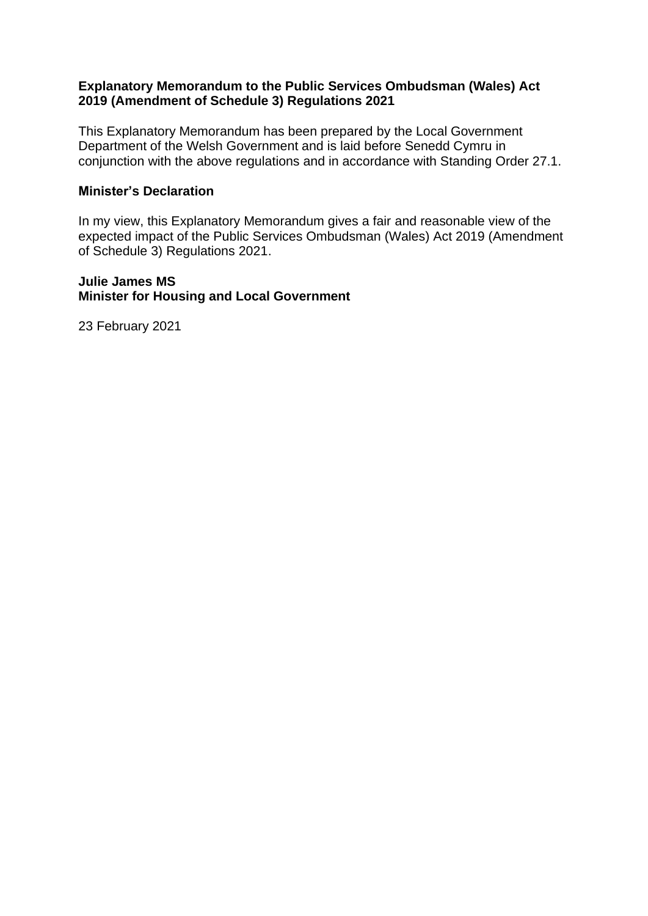### **Explanatory Memorandum to the Public Services Ombudsman (Wales) Act 2019 (Amendment of Schedule 3) Regulations 2021**

This Explanatory Memorandum has been prepared by the Local Government Department of the Welsh Government and is laid before Senedd Cymru in conjunction with the above regulations and in accordance with Standing Order 27.1.

#### **Minister's Declaration**

In my view, this Explanatory Memorandum gives a fair and reasonable view of the expected impact of the Public Services Ombudsman (Wales) Act 2019 (Amendment of Schedule 3) Regulations 2021.

### **Julie James MS Minister for Housing and Local Government**

23 February 2021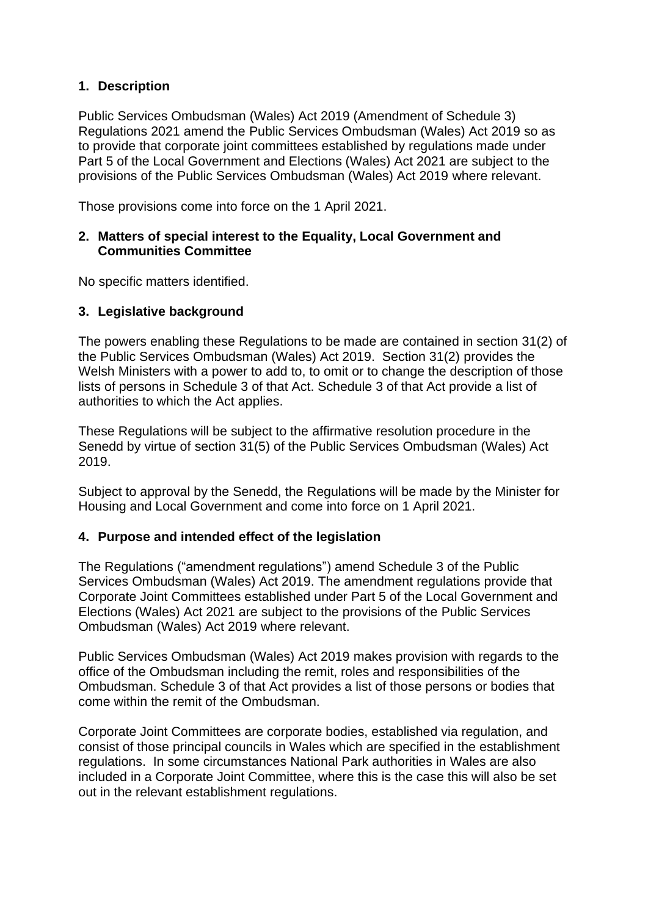# **1. Description**

Public Services Ombudsman (Wales) Act 2019 (Amendment of Schedule 3) Regulations 2021 amend the Public Services Ombudsman (Wales) Act 2019 so as to provide that corporate joint committees established by regulations made under Part 5 of the Local Government and Elections (Wales) Act 2021 are subject to the provisions of the Public Services Ombudsman (Wales) Act 2019 where relevant.

Those provisions come into force on the 1 April 2021.

## **2. Matters of special interest to the Equality, Local Government and Communities Committee**

No specific matters identified.

# **3. Legislative background**

The powers enabling these Regulations to be made are contained in section 31(2) of the Public Services Ombudsman (Wales) Act 2019. Section 31(2) provides the Welsh Ministers with a power to add to, to omit or to change the description of those lists of persons in Schedule 3 of that Act. Schedule 3 of that Act provide a list of authorities to which the Act applies.

These Regulations will be subject to the affirmative resolution procedure in the Senedd by virtue of section 31(5) of the Public Services Ombudsman (Wales) Act 2019.

Subject to approval by the Senedd, the Regulations will be made by the Minister for Housing and Local Government and come into force on 1 April 2021.

# **4. Purpose and intended effect of the legislation**

The Regulations ("amendment regulations") amend Schedule 3 of the Public Services Ombudsman (Wales) Act 2019. The amendment regulations provide that Corporate Joint Committees established under Part 5 of the Local Government and Elections (Wales) Act 2021 are subject to the provisions of the Public Services Ombudsman (Wales) Act 2019 where relevant.

Public Services Ombudsman (Wales) Act 2019 makes provision with regards to the office of the Ombudsman including the remit, roles and responsibilities of the Ombudsman. Schedule 3 of that Act provides a list of those persons or bodies that come within the remit of the Ombudsman.

Corporate Joint Committees are corporate bodies, established via regulation, and consist of those principal councils in Wales which are specified in the establishment regulations. In some circumstances National Park authorities in Wales are also included in a Corporate Joint Committee, where this is the case this will also be set out in the relevant establishment regulations.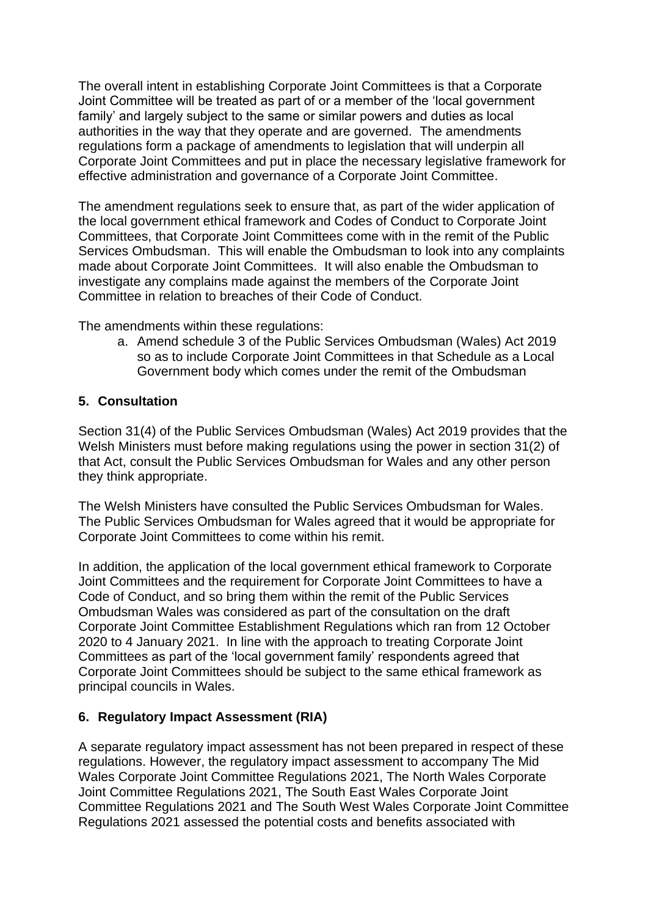The overall intent in establishing Corporate Joint Committees is that a Corporate Joint Committee will be treated as part of or a member of the 'local government family' and largely subject to the same or similar powers and duties as local authorities in the way that they operate and are governed. The amendments regulations form a package of amendments to legislation that will underpin all Corporate Joint Committees and put in place the necessary legislative framework for effective administration and governance of a Corporate Joint Committee.

The amendment regulations seek to ensure that, as part of the wider application of the local government ethical framework and Codes of Conduct to Corporate Joint Committees, that Corporate Joint Committees come with in the remit of the Public Services Ombudsman. This will enable the Ombudsman to look into any complaints made about Corporate Joint Committees. It will also enable the Ombudsman to investigate any complains made against the members of the Corporate Joint Committee in relation to breaches of their Code of Conduct.

The amendments within these regulations:

a. Amend schedule 3 of the Public Services Ombudsman (Wales) Act 2019 so as to include Corporate Joint Committees in that Schedule as a Local Government body which comes under the remit of the Ombudsman

### **5. Consultation**

Section 31(4) of the Public Services Ombudsman (Wales) Act 2019 provides that the Welsh Ministers must before making regulations using the power in section 31(2) of that Act, consult the Public Services Ombudsman for Wales and any other person they think appropriate.

The Welsh Ministers have consulted the Public Services Ombudsman for Wales. The Public Services Ombudsman for Wales agreed that it would be appropriate for Corporate Joint Committees to come within his remit.

In addition, the application of the local government ethical framework to Corporate Joint Committees and the requirement for Corporate Joint Committees to have a Code of Conduct, and so bring them within the remit of the Public Services Ombudsman Wales was considered as part of the consultation on the draft Corporate Joint Committee Establishment Regulations which ran from 12 October 2020 to 4 January 2021. In line with the approach to treating Corporate Joint Committees as part of the 'local government family' respondents agreed that Corporate Joint Committees should be subject to the same ethical framework as principal councils in Wales.

### **6. Regulatory Impact Assessment (RIA)**

A separate regulatory impact assessment has not been prepared in respect of these regulations. However, the regulatory impact assessment to accompany The Mid Wales Corporate Joint Committee Regulations 2021, The North Wales Corporate Joint Committee Regulations 2021, The South East Wales Corporate Joint Committee Regulations 2021 and The South West Wales Corporate Joint Committee Regulations 2021 assessed the potential costs and benefits associated with